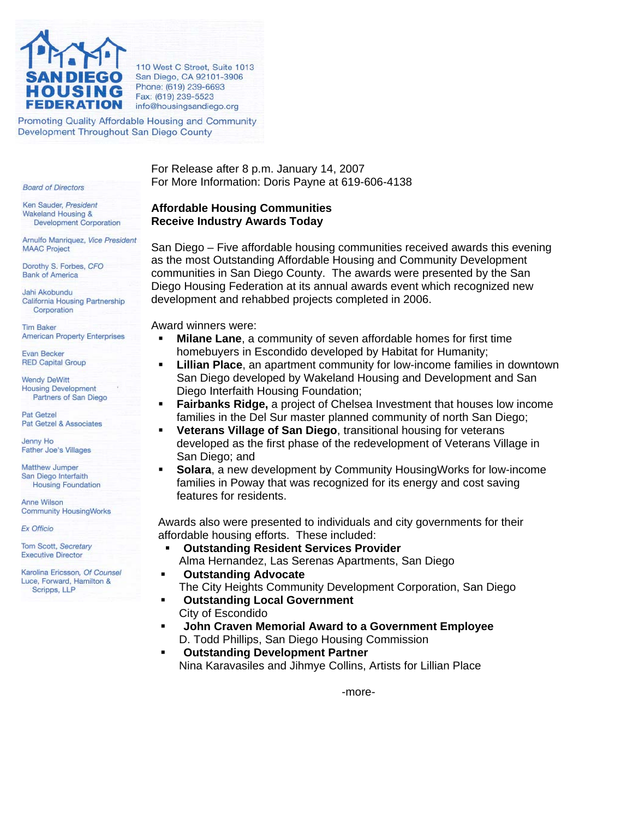

110 West C Street, Suite 1013 San Diego, CA 92101-3906 Phone: (619) 239-6693 Fax: (619) 239-5523 info@housingsandiego.org

Promoting Quality Affordable Housing and Community Development Throughout San Diego County

## **Board of Directors**

Ken Sauder, President Wakeland Housing & Development Corporation

Arnulfo Manriquez, Vice President **MAAC Project** 

Dorothy S. Forbes, CFO **Bank of America** 

Jahi Akobundu California Housing Partnership Corporation

**Tim Baker** American Property Enterprises

Evan Becker **RED Capital Group** 

Wendy DeWitt **Housing Development** Partners of San Diego

Pat Getzel Pat Getzel & Associates

Jenny Ho Father Joe's Villages

Matthew Jumper San Diego Interfaith **Housing Foundation** 

Anne Wilson Community HousingWorks

Ex Officio

Tom Scott, Secretary **Executive Director** 

Karolina Ericsson, Of Counsel Luce, Forward, Hamilton & Scripps, LLP

For Release after 8 p.m. January 14, 2007 For More Information: Doris Payne at 619-606-4138

## **Affordable Housing Communities Receive Industry Awards Today**

San Diego – Five affordable housing communities received awards this evening as the most Outstanding Affordable Housing and Community Development communities in San Diego County. The awards were presented by the San Diego Housing Federation at its annual awards event which recognized new development and rehabbed projects completed in 2006.

Award winners were:

- **Milane Lane**, a community of seven affordable homes for first time homebuyers in Escondido developed by Habitat for Humanity;
- **Lillian Place**, an apartment community for low-income families in downtown San Diego developed by Wakeland Housing and Development and San Diego Interfaith Housing Foundation;
- **Fairbanks Ridge,** a project of Chelsea Investment that houses low income families in the Del Sur master planned community of north San Diego;
- **Veterans Village of San Diego**, transitional housing for veterans developed as the first phase of the redevelopment of Veterans Village in San Diego; and
- **Solara**, a new development by Community HousingWorks for low-income families in Poway that was recognized for its energy and cost saving features for residents.

Awards also were presented to individuals and city governments for their affordable housing efforts. These included:

- **Outstanding Resident Services Provider**  Alma Hernandez, Las Serenas Apartments, San Diego
- **Outstanding Advocate**  The City Heights Community Development Corporation, San Diego
- **Outstanding Local Government**  City of Escondido
- **John Craven Memorial Award to a Government Employee**  D. Todd Phillips, San Diego Housing Commission
- **Outstanding Development Partner** Nina Karavasiles and Jihmye Collins, Artists for Lillian Place

-more-